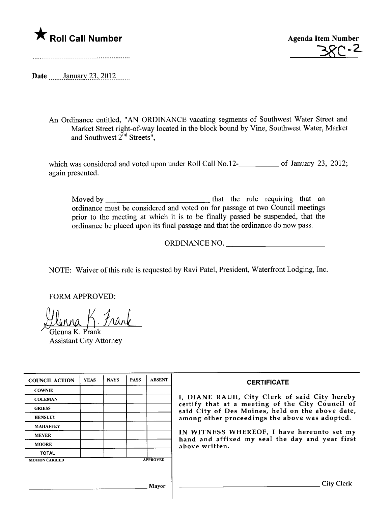

38C - 2

Date \_\_\_\_\_\_ January 23, 2012 \_\_\_\_\_

An Ordinance entitled, "AN ORDINANCE vacating segments of Southwest Water Street and Market Street right-of-way located in the block bound by Vine, Southwest Water, Market and Southwest  $2^{nd}$  Streets",

which was considered and voted upon under Roll Call No.12-**\_\_\_\_\_\_\_\_\_** of January 23, 2012; again presented.

Moved by that the rule requiring that an ordinance must be considered and voted on for passage at two Council meetings prior to the meeting at which it is to be finally passed be suspended, that the ordinance be placed upon its final passage and that the ordinance do now pass.

ORDINANCE NO.

NOTE: Waiver of this rule is requested by Ravi Patel, President, Waterfront Lodging, Inc.

FORM APPROVED:

<u>Glenna K. Frank</u>

Glenna K. Frank Assistant City Attorney

| <b>COUNCIL ACTION</b> | <b>YEAS</b> | <b>NAYS</b> | <b>PASS</b> | <b>ABSENT</b>   | <b>CERTIFICATE</b>                                                                                                                                                                                                                                                                                                         |
|-----------------------|-------------|-------------|-------------|-----------------|----------------------------------------------------------------------------------------------------------------------------------------------------------------------------------------------------------------------------------------------------------------------------------------------------------------------------|
| <b>COWNIE</b>         |             |             |             |                 | I, DIANE RAUH, City Clerk of said City hereby<br>certify that at a meeting of the City Council of<br>said City of Des Moines, held on the above date,<br>among other proceedings the above was adopted.<br>IN WITNESS WHEREOF, I have hereunto set my<br>hand and affixed my seal the day and year first<br>above written. |
| <b>COLEMAN</b>        |             |             |             |                 |                                                                                                                                                                                                                                                                                                                            |
| <b>GRIESS</b>         |             |             |             |                 |                                                                                                                                                                                                                                                                                                                            |
| <b>HENSLEY</b>        |             |             |             |                 |                                                                                                                                                                                                                                                                                                                            |
| <b>MAHAFFEY</b>       |             |             |             |                 |                                                                                                                                                                                                                                                                                                                            |
| <b>MEYER</b>          |             |             |             |                 |                                                                                                                                                                                                                                                                                                                            |
| <b>MOORE</b>          |             |             |             |                 |                                                                                                                                                                                                                                                                                                                            |
| <b>TOTAL</b>          |             |             |             |                 |                                                                                                                                                                                                                                                                                                                            |
| <b>MOTION CARRIED</b> |             |             |             | <b>APPROVED</b> |                                                                                                                                                                                                                                                                                                                            |
|                       |             |             |             |                 |                                                                                                                                                                                                                                                                                                                            |
|                       |             |             |             |                 |                                                                                                                                                                                                                                                                                                                            |
| Mayor                 |             |             |             |                 | City Clerk                                                                                                                                                                                                                                                                                                                 |